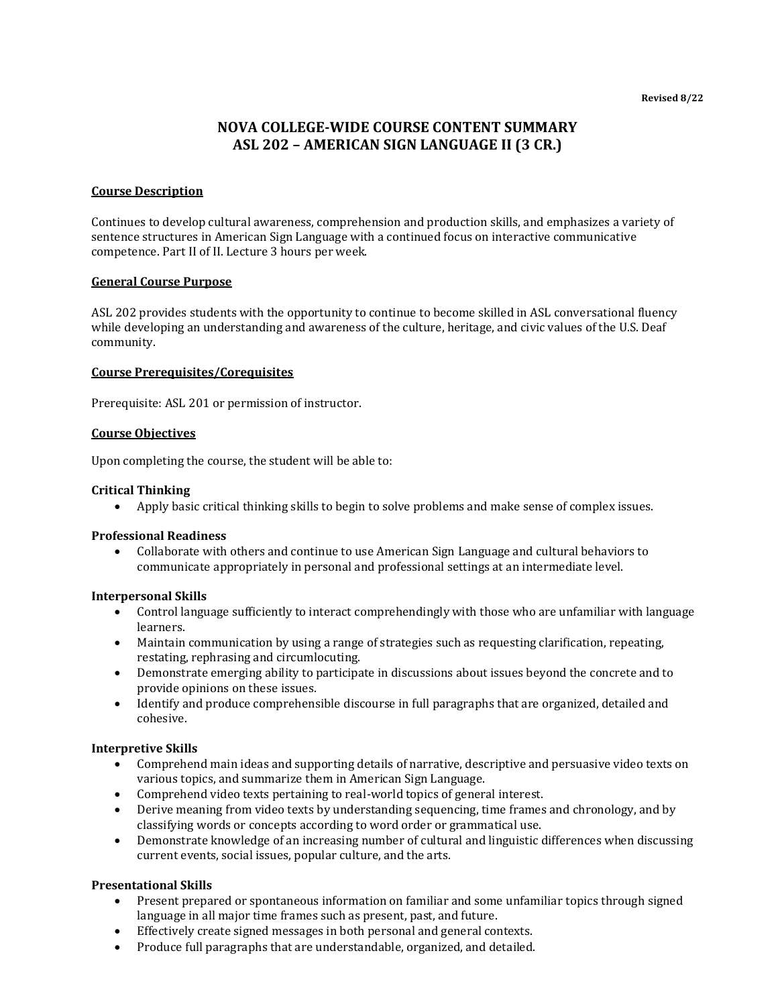# **NOVA COLLEGE-WIDE COURSE CONTENT SUMMARY ASL 202 – AMERICAN SIGN LANGUAGE II (3 CR.)**

## **Course Description**

Continues to develop cultural awareness, comprehension and production skills, and emphasizes a variety of sentence structures in American Sign Language with a continued focus on interactive communicative competence. Part II of II. Lecture 3 hours per week.

#### **General Course Purpose**

ASL 202 provides students with the opportunity to continue to become skilled in ASL conversational fluency while developing an understanding and awareness of the culture, heritage, and civic values of the U.S. Deaf community.

#### **Course Prerequisites/Corequisites**

Prerequisite: ASL 201 or permission of instructor.

#### **Course Objectives**

Upon completing the course, the student will be able to:

#### **Critical Thinking**

• Apply basic critical thinking skills to begin to solve problems and make sense of complex issues.

#### **Professional Readiness**

• Collaborate with others and continue to use American Sign Language and cultural behaviors to communicate appropriately in personal and professional settings at an intermediate level.

## **Interpersonal Skills**

- Control language sufficiently to interact comprehendingly with those who are unfamiliar with language learners.
- Maintain communication by using a range of strategies such as requesting clarification, repeating, restating, rephrasing and circumlocuting.
- Demonstrate emerging ability to participate in discussions about issues beyond the concrete and to provide opinions on these issues.
- Identify and produce comprehensible discourse in full paragraphs that are organized, detailed and cohesive.

## **Interpretive Skills**

- Comprehend main ideas and supporting details of narrative, descriptive and persuasive video texts on various topics, and summarize them in American Sign Language.
- Comprehend video texts pertaining to real-world topics of general interest.
- Derive meaning from video texts by understanding sequencing, time frames and chronology, and by classifying words or concepts according to word order or grammatical use.
- Demonstrate knowledge of an increasing number of cultural and linguistic differences when discussing current events, social issues, popular culture, and the arts.

#### **Presentational Skills**

- Present prepared or spontaneous information on familiar and some unfamiliar topics through signed language in all major time frames such as present, past, and future.
- Effectively create signed messages in both personal and general contexts.
- Produce full paragraphs that are understandable, organized, and detailed.